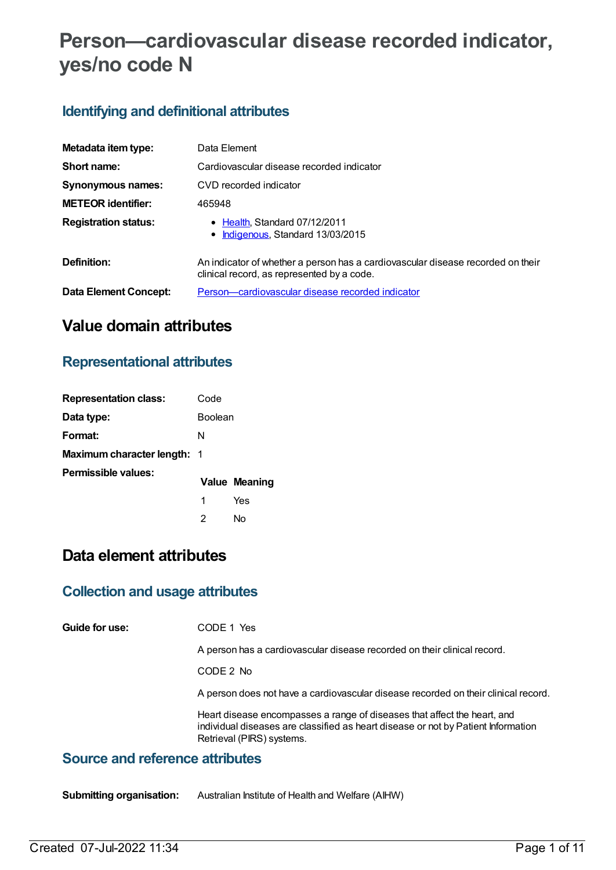# **Person—cardiovascular disease recorded indicator, yes/no code N**

## **Identifying and definitional attributes**

| Metadata item type:         | Data Element                                                                                                                  |
|-----------------------------|-------------------------------------------------------------------------------------------------------------------------------|
| Short name:                 | Cardiovascular disease recorded indicator                                                                                     |
| <b>Synonymous names:</b>    | CVD recorded indicator                                                                                                        |
| <b>METEOR identifier:</b>   | 465948                                                                                                                        |
| <b>Registration status:</b> | • Health, Standard 07/12/2011<br>• Indigenous, Standard 13/03/2015                                                            |
| Definition:                 | An indicator of whether a person has a cardiovascular disease recorded on their<br>clinical record, as represented by a code. |
| Data Element Concept:       | Person—cardiovascular disease recorded indicator                                                                              |

# **Value domain attributes**

### **Representational attributes**

| <b>Representation class:</b>       | Code           |                      |
|------------------------------------|----------------|----------------------|
| Data type:                         | <b>Boolean</b> |                      |
| Format:                            | N              |                      |
| <b>Maximum character length: 1</b> |                |                      |
| Permissible values:                |                | <b>Value Meaning</b> |
|                                    | 1              | Yes                  |
|                                    | 2              | N٥                   |

# **Data element attributes**

### **Collection and usage attributes**

**Guide for use:** CODE 1 Yes

A person has a cardiovascular disease recorded on their clinical record.

CODE 2 No

A person does not have a cardiovascular disease recorded on their clinical record.

Heart disease encompasses a range of diseases that affect the heart, and individual diseases are classified as heart disease or not by Patient Information Retrieval (PIRS) systems.

#### **Source and reference attributes**

**Submitting organisation:** Australian Institute of Health and Welfare (AIHW)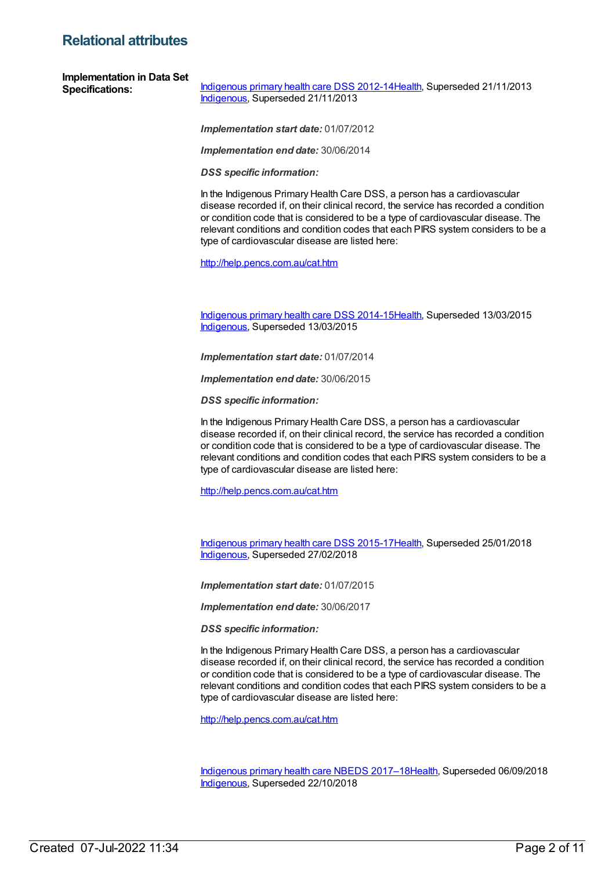### **Relational attributes**

*Implementation start date:* 01/07/2012

*Implementation end date:* 30/06/2014

*DSS specific information:*

In the Indigenous Primary Health Care DSS, a person has a cardiovascular disease recorded if, on their clinical record, the service has recorded a condition or condition code that is considered to be a type of cardiovascular disease. The relevant conditions and condition codes that each PIRS system considers to be a type of cardiovascular disease are listed here:

<http://help.pencs.com.au/cat.htm>

[Indigenous](https://meteor.aihw.gov.au/content/504325) primary health care DSS 2014-1[5Health](https://meteor.aihw.gov.au/RegistrationAuthority/12), Superseded 13/03/2015 [Indigenous](https://meteor.aihw.gov.au/RegistrationAuthority/6), Superseded 13/03/2015

*Implementation start date:* 01/07/2014

*Implementation end date:* 30/06/2015

*DSS specific information:*

In the Indigenous Primary Health Care DSS, a person has a cardiovascular disease recorded if, on their clinical record, the service has recorded a condition or condition code that is considered to be a type of cardiovascular disease. The relevant conditions and condition codes that each PIRS system considers to be a type of cardiovascular disease are listed here:

<http://help.pencs.com.au/cat.htm>

[Indigenous](https://meteor.aihw.gov.au/content/585036) primary health care DSS 2015-1[7Health](https://meteor.aihw.gov.au/RegistrationAuthority/12), Superseded 25/01/2018 [Indigenous](https://meteor.aihw.gov.au/RegistrationAuthority/6), Superseded 27/02/2018

*Implementation start date:* 01/07/2015

*Implementation end date:* 30/06/2017

*DSS specific information:*

In the Indigenous Primary Health Care DSS, a person has a cardiovascular disease recorded if, on their clinical record, the service has recorded a condition or condition code that is considered to be a type of cardiovascular disease. The relevant conditions and condition codes that each PIRS system considers to be a type of cardiovascular disease are listed here:

<http://help.pencs.com.au/cat.htm>

[Indigenous](https://meteor.aihw.gov.au/content/686603) primary health care NBEDS 2017–18[Health](https://meteor.aihw.gov.au/RegistrationAuthority/12), Superseded 06/09/2018 [Indigenous](https://meteor.aihw.gov.au/RegistrationAuthority/6), Superseded 22/10/2018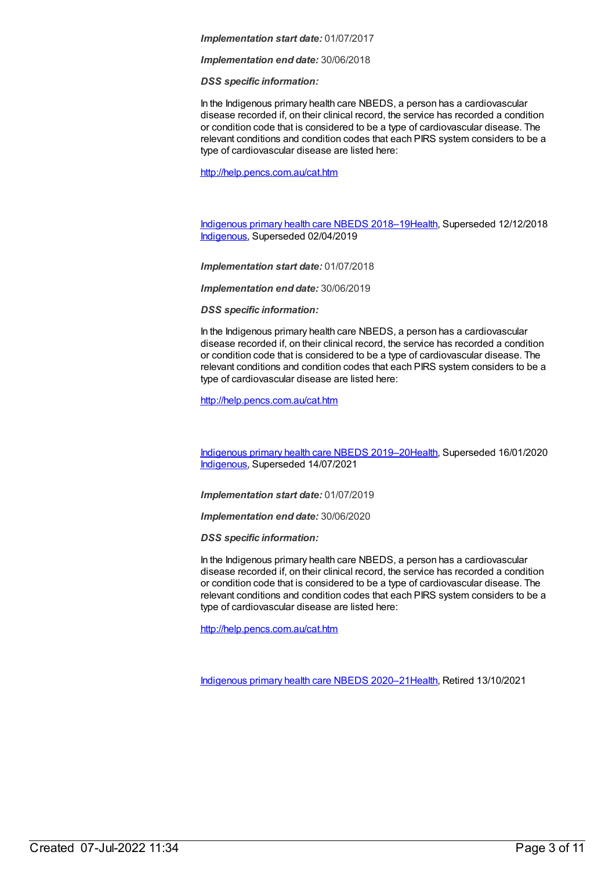#### *Implementation start date:* 01/07/2017

*Implementation end date:* 30/06/2018

*DSS specific information:*

In the Indigenous primary health care NBEDS, a person has a cardiovascular disease recorded if, on their clinical record, the service has recorded a condition or condition code that is considered to be a type of cardiovascular disease. The relevant conditions and condition codes that each PIRS system considers to be a type of cardiovascular disease are listed here:

<http://help.pencs.com.au/cat.htm>

[Indigenous](https://meteor.aihw.gov.au/content/694101) primary health care NBEDS 2018–19[Health](https://meteor.aihw.gov.au/RegistrationAuthority/12), Superseded 12/12/2018 [Indigenous](https://meteor.aihw.gov.au/RegistrationAuthority/6), Superseded 02/04/2019

*Implementation start date:* 01/07/2018

*Implementation end date:* 30/06/2019

*DSS specific information:*

In the Indigenous primary health care NBEDS, a person has a cardiovascular disease recorded if, on their clinical record, the service has recorded a condition or condition code that is considered to be a type of cardiovascular disease. The relevant conditions and condition codes that each PIRS system considers to be a type of cardiovascular disease are listed here:

<http://help.pencs.com.au/cat.htm>

[Indigenous](https://meteor.aihw.gov.au/content/707502) primary health care NBEDS 2019–20[Health](https://meteor.aihw.gov.au/RegistrationAuthority/12), Superseded 16/01/2020 [Indigenous](https://meteor.aihw.gov.au/RegistrationAuthority/6), Superseded 14/07/2021

*Implementation start date:* 01/07/2019

*Implementation end date:* 30/06/2020

*DSS specific information:*

In the Indigenous primary health care NBEDS, a person has a cardiovascular disease recorded if, on their clinical record, the service has recorded a condition or condition code that is considered to be a type of cardiovascular disease. The relevant conditions and condition codes that each PIRS system considers to be a type of cardiovascular disease are listed here:

<http://help.pencs.com.au/cat.htm>

[Indigenous](https://meteor.aihw.gov.au/content/715320) primary health care NBEDS 2020–21[Health](https://meteor.aihw.gov.au/RegistrationAuthority/12), Retired 13/10/2021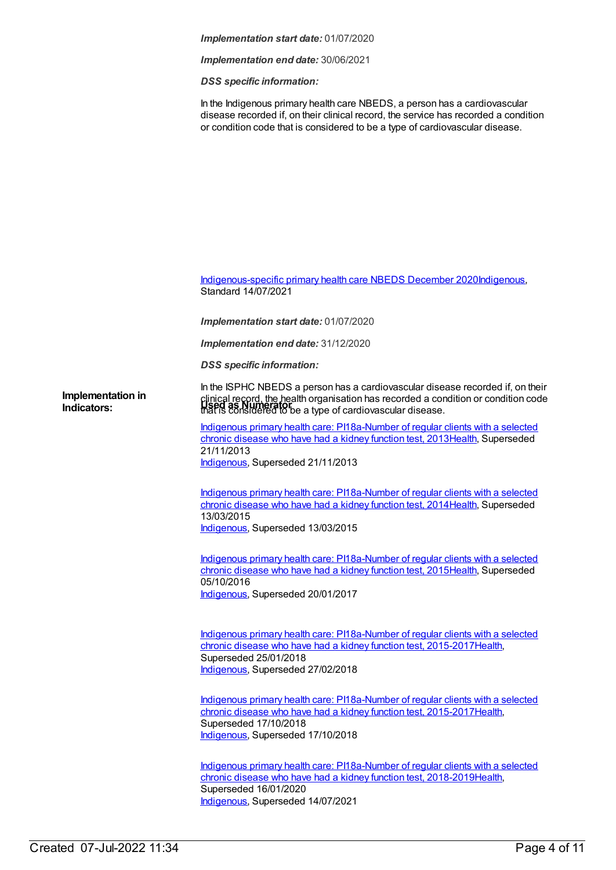#### *Implementation start date:* 01/07/2020

*Implementation end date:* 30/06/2021

*DSS specific information:*

In the Indigenous primary health care NBEDS, a person has a cardiovascular disease recorded if, on their clinical record, the service has recorded a condition or condition code that is considered to be a type of cardiovascular disease.

[Indigenous-specific](https://meteor.aihw.gov.au/content/738532) primary health care NBEDS December 2020[Indigenous](https://meteor.aihw.gov.au/RegistrationAuthority/6), Standard 14/07/2021

*Implementation start date:* 01/07/2020

*Implementation end date:* 31/12/2020

*DSS specific information:*

In the ISPHC NBEDS a person has a cardiovascular disease recorded if, on their clinical record, the health organisation has recorded a condition or condition code that is considered to be a type of cardiovascular disease. **Indicators: Used as Numerator Implementation in**

> Indigenous primary health care: [PI18a-Number](https://meteor.aihw.gov.au/content/438141) of regular clients with a selected chronic disease who have had a kidney function test, 201[3Health](https://meteor.aihw.gov.au/RegistrationAuthority/12), Superseded 21/11/2013 [Indigenous](https://meteor.aihw.gov.au/RegistrationAuthority/6), Superseded 21/11/2013

> Indigenous primary health care: [PI18a-Number](https://meteor.aihw.gov.au/content/504785) of regular clients with a selected chronic disease who have had a kidney function test, 201[4Health](https://meteor.aihw.gov.au/RegistrationAuthority/12), Superseded 13/03/2015 [Indigenous](https://meteor.aihw.gov.au/RegistrationAuthority/6), Superseded 13/03/2015

> Indigenous primary health care: [PI18a-Number](https://meteor.aihw.gov.au/content/589067) of regular clients with a selected chronic disease who have had a kidney function test, 201[5Health](https://meteor.aihw.gov.au/RegistrationAuthority/12), Superseded 05/10/2016 [Indigenous](https://meteor.aihw.gov.au/RegistrationAuthority/6), Superseded 20/01/2017

> Indigenous primary health care: PI18a-Number of regular clients with a selected chronic disease who have had a kidney function test, [2015-2017Health,](https://meteor.aihw.gov.au/content/663967) Superseded 25/01/2018 [Indigenous](https://meteor.aihw.gov.au/RegistrationAuthority/6), Superseded 27/02/2018

> Indigenous primary health care: PI18a-Number of regular clients with a selected chronic disease who have had a kidney function test, [2015-2017](https://meteor.aihw.gov.au/content/686362)[Healt](https://meteor.aihw.gov.au/RegistrationAuthority/12)[h,](https://meteor.aihw.gov.au/content/686362) Superseded 17/10/2018 [Indigenous](https://meteor.aihw.gov.au/RegistrationAuthority/6), Superseded 17/10/2018

> Indigenous primary health care: PI18a-Number of regular clients with a selected chronic disease who have had a kidney function test, [2018-2019Health,](https://meteor.aihw.gov.au/content/687996) Superseded 16/01/2020 [Indigenous](https://meteor.aihw.gov.au/RegistrationAuthority/6), Superseded 14/07/2021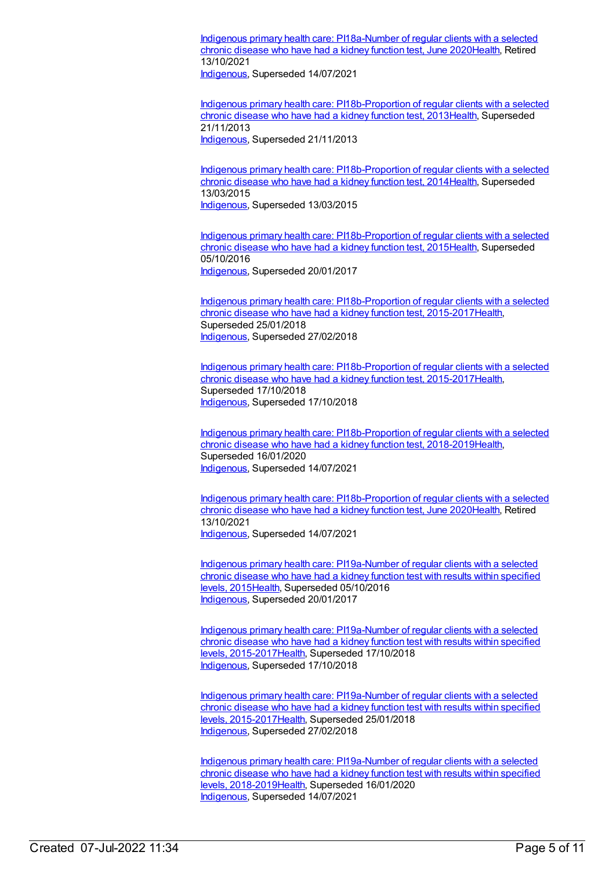Indigenous primary health care: [PI18a-Number](https://meteor.aihw.gov.au/content/717338) of regular clients with a selected chronic disease who have had a kidney function test, June 2020[Health](https://meteor.aihw.gov.au/RegistrationAuthority/12), Retired 13/10/2021

[Indigenous](https://meteor.aihw.gov.au/RegistrationAuthority/6), Superseded 14/07/2021

Indigenous primary health care: [PI18b-Proportion](https://meteor.aihw.gov.au/content/438145) of regular clients with a selected chronic disease who have had a kidney function test, 201[3Health](https://meteor.aihw.gov.au/RegistrationAuthority/12), Superseded 21/11/2013 [Indigenous](https://meteor.aihw.gov.au/RegistrationAuthority/6), Superseded 21/11/2013

Indigenous primary health care: [PI18b-Proportion](https://meteor.aihw.gov.au/content/504788) of regular clients with a selected chronic disease who have had a kidney function test, 201[4Health](https://meteor.aihw.gov.au/RegistrationAuthority/12), Superseded 13/03/2015 [Indigenous](https://meteor.aihw.gov.au/RegistrationAuthority/6), Superseded 13/03/2015

Indigenous primary health care: [PI18b-Proportion](https://meteor.aihw.gov.au/content/589069) of regular clients with a selected chronic disease who have had a kidney function test, 201[5Health](https://meteor.aihw.gov.au/RegistrationAuthority/12), Superseded 05/10/2016 [Indigenous](https://meteor.aihw.gov.au/RegistrationAuthority/6), Superseded 20/01/2017

Indigenous primary health care: [PI18b-Proportion](https://meteor.aihw.gov.au/content/663969) of regular clients with a selected chronic disease who have had a kidney function test, 2015-201[7Health](https://meteor.aihw.gov.au/RegistrationAuthority/12), Superseded 25/01/2018 [Indigenous](https://meteor.aihw.gov.au/RegistrationAuthority/6), Superseded 27/02/2018

Indigenous primary health care: [PI18b-Proportion](https://meteor.aihw.gov.au/content/686364) of regular clients with a selected chronic disease who have had a kidney function test, 2015-201[7Health](https://meteor.aihw.gov.au/RegistrationAuthority/12), Superseded 17/10/2018 [Indigenous](https://meteor.aihw.gov.au/RegistrationAuthority/6), Superseded 17/10/2018

Indigenous primary health care: [PI18b-Proportion](https://meteor.aihw.gov.au/content/687998) of regular clients with a selected chronic disease who have had a kidney function test, 2018-201[9Health](https://meteor.aihw.gov.au/RegistrationAuthority/12), Superseded 16/01/2020 [Indigenous](https://meteor.aihw.gov.au/RegistrationAuthority/6), Superseded 14/07/2021

Indigenous primary health care: [PI18b-Proportion](https://meteor.aihw.gov.au/content/717340) of regular clients with a selected chronic disease who have had a kidney function test, June 2020[Health](https://meteor.aihw.gov.au/RegistrationAuthority/12), Retired 13/10/2021 [Indigenous](https://meteor.aihw.gov.au/RegistrationAuthority/6), Superseded 14/07/2021

Indigenous primary health care: [PI19a-Number](https://meteor.aihw.gov.au/content/594135) of regular clients with a selected chronic disease who have had a kidney function test with results within specified levels, 2015[Health](https://meteor.aihw.gov.au/RegistrationAuthority/12), Superseded 05/10/2016 [Indigenous](https://meteor.aihw.gov.au/RegistrationAuthority/6), Superseded 20/01/2017

Indigenous primary health care: PI19a-Number of regular clients with a selected chronic disease who have had a kidney function test with results within specified levels, [2015-2017Health,](https://meteor.aihw.gov.au/content/686366) Superseded 17/10/2018 [Indigenous](https://meteor.aihw.gov.au/RegistrationAuthority/6), Superseded 17/10/2018

Indigenous primary health care: PI19a-Number of regular clients with a selected chronic disease who have had a kidney function test with results within specified levels, [2015-2017Health,](https://meteor.aihw.gov.au/content/663973) Superseded 25/01/2018 [Indigenous](https://meteor.aihw.gov.au/RegistrationAuthority/6), Superseded 27/02/2018

Indigenous primary health care: PI19a-Number of regular clients with a selected chronic disease who have had a kidney function test with results within specified levels, [2018-2019Health,](https://meteor.aihw.gov.au/content/688000) Superseded 16/01/2020 [Indigenous](https://meteor.aihw.gov.au/RegistrationAuthority/6), Superseded 14/07/2021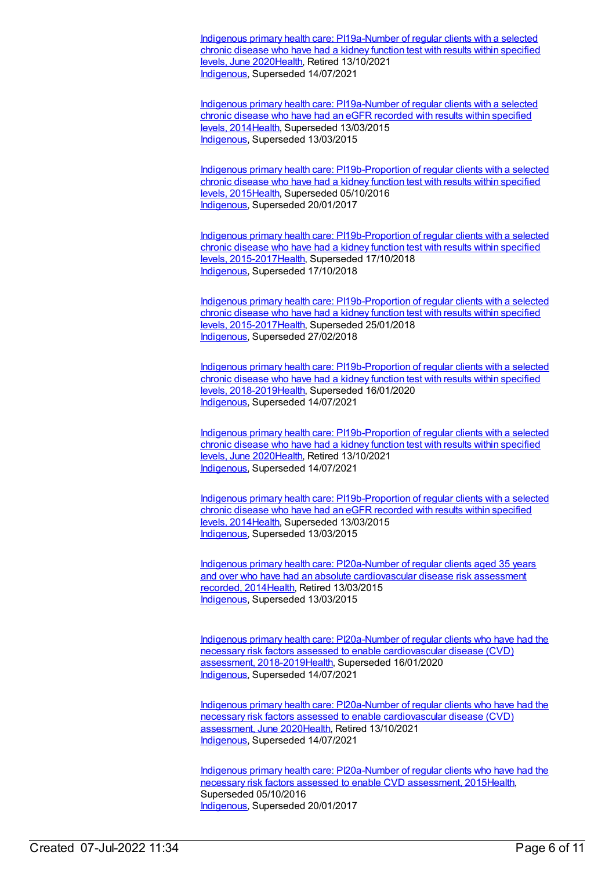Indigenous primary health care: [PI19a-Number](https://meteor.aihw.gov.au/content/717342) of regular clients with a selected chronic disease who have had a kidney function test with results within specified levels, June 202[0Health](https://meteor.aihw.gov.au/RegistrationAuthority/12), Retired 13/10/2021 [Indigenous](https://meteor.aihw.gov.au/RegistrationAuthority/6), Superseded 14/07/2021

Indigenous primary health care: [PI19a-Number](https://meteor.aihw.gov.au/content/481523) of regular clients with a selected chronic disease who have had an eGFR recorded with results within specified levels, 2014[Health](https://meteor.aihw.gov.au/RegistrationAuthority/12), Superseded 13/03/2015 [Indigenous](https://meteor.aihw.gov.au/RegistrationAuthority/6), Superseded 13/03/2015

Indigenous primary health care: [PI19b-Proportion](https://meteor.aihw.gov.au/content/594108) of regular clients with a selected chronic disease who have had a kidney function test with results within specified levels, 2015[Health](https://meteor.aihw.gov.au/RegistrationAuthority/12), Superseded 05/10/2016 [Indigenous](https://meteor.aihw.gov.au/RegistrationAuthority/6), Superseded 20/01/2017

Indigenous primary health care: [PI19b-Proportion](https://meteor.aihw.gov.au/content/686368) of regular clients with a selected chronic disease who have had a kidney function test with results within specified levels, 2015-201[7Health,](https://meteor.aihw.gov.au/RegistrationAuthority/12) Superseded 17/10/2018 [Indigenous](https://meteor.aihw.gov.au/RegistrationAuthority/6), Superseded 17/10/2018

Indigenous primary health care: [PI19b-Proportion](https://meteor.aihw.gov.au/content/663976) of regular clients with a selected chronic disease who have had a kidney function test with results within specified levels, 2015-201[7Health,](https://meteor.aihw.gov.au/RegistrationAuthority/12) Superseded 25/01/2018 [Indigenous](https://meteor.aihw.gov.au/RegistrationAuthority/6), Superseded 27/02/2018

Indigenous primary health care: [PI19b-Proportion](https://meteor.aihw.gov.au/content/688002) of regular clients with a selected chronic disease who have had a kidney function test with results within specified levels, 2018-201[9Health,](https://meteor.aihw.gov.au/RegistrationAuthority/12) Superseded 16/01/2020 [Indigenous](https://meteor.aihw.gov.au/RegistrationAuthority/6), Superseded 14/07/2021

Indigenous primary health care: [PI19b-Proportion](https://meteor.aihw.gov.au/content/717344) of regular clients with a selected chronic disease who have had a kidney function test with results within specified levels, June 202[0Health](https://meteor.aihw.gov.au/RegistrationAuthority/12), Retired 13/10/2021 [Indigenous](https://meteor.aihw.gov.au/RegistrationAuthority/6), Superseded 14/07/2021

Indigenous primary health care: [PI19b-Proportion](https://meteor.aihw.gov.au/content/481525) of regular clients with a selected chronic disease who have had an eGFR recorded with results within specified levels, 2014[Health](https://meteor.aihw.gov.au/RegistrationAuthority/12), Superseded 13/03/2015 [Indigenous](https://meteor.aihw.gov.au/RegistrationAuthority/6), Superseded 13/03/2015

Indigenous primary health care: [PI20a-Number](https://meteor.aihw.gov.au/content/481574) of regular clients aged 35 years and over who have had an absolute cardiovascular disease risk assessment recorded, 201[4Health](https://meteor.aihw.gov.au/RegistrationAuthority/12), Retired 13/03/2015 [Indigenous](https://meteor.aihw.gov.au/RegistrationAuthority/6), Superseded 13/03/2015

Indigenous primary health care: PI20a-Number of regular clients who have had the necessary risk factors assessed to enable cardiovascular disease (CVD) assessment, [2018-2019Health,](https://meteor.aihw.gov.au/content/688004) Superseded 16/01/2020 [Indigenous](https://meteor.aihw.gov.au/RegistrationAuthority/6), Superseded 14/07/2021

Indigenous primary health care: [PI20a-Number](https://meteor.aihw.gov.au/content/717348) of regular clients who have had the necessary risk factors assessed to enable cardiovascular disease (CVD) assessment, June 202[0Health](https://meteor.aihw.gov.au/RegistrationAuthority/12), Retired 13/10/2021 [Indigenous](https://meteor.aihw.gov.au/RegistrationAuthority/6), Superseded 14/07/2021

Indigenous primary health care: [PI20a-Number](https://meteor.aihw.gov.au/content/591955) of regular clients who have had the necessary risk factors assessed to enable CVD assessment, 201[5Health](https://meteor.aihw.gov.au/RegistrationAuthority/12), Superseded 05/10/2016 [Indigenous](https://meteor.aihw.gov.au/RegistrationAuthority/6), Superseded 20/01/2017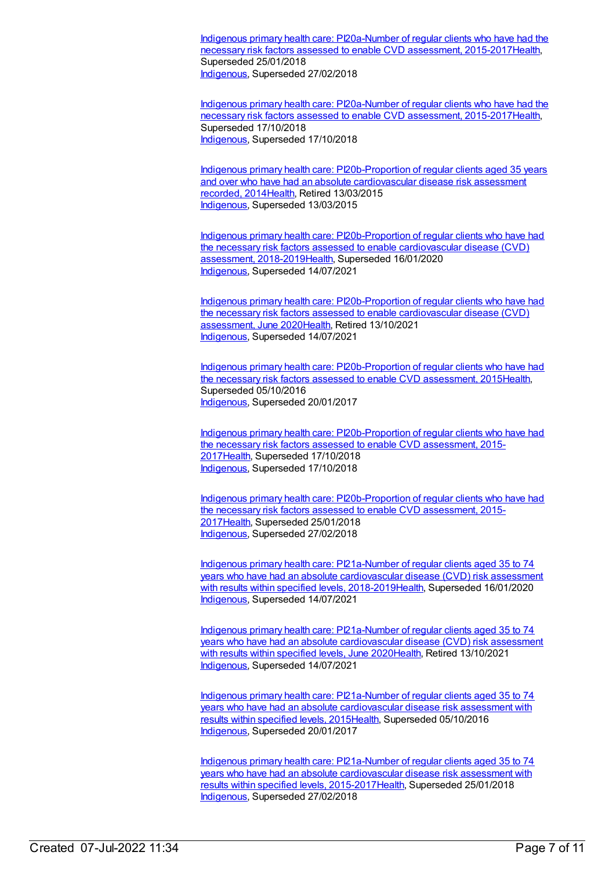Indigenous primary health care: PI20a-Number of regular clients who have had the necessary risk factors assessed to enable CVD assessment, [2015-2017Health,](https://meteor.aihw.gov.au/content/663882) Superseded 25/01/2018 [Indigenous](https://meteor.aihw.gov.au/RegistrationAuthority/6), Superseded 27/02/2018

Indigenous primary health care: PI20a-Number of regular clients who have had the necessary risk factors assessed to enable CVD assessment, [2015-2017](https://meteor.aihw.gov.au/content/686370)[Healt](https://meteor.aihw.gov.au/RegistrationAuthority/12)[h,](https://meteor.aihw.gov.au/content/686370) Superseded 17/10/2018 [Indigenous](https://meteor.aihw.gov.au/RegistrationAuthority/6), Superseded 17/10/2018

Indigenous primary health care: [PI20b-Proportion](https://meteor.aihw.gov.au/content/481576) of regular clients aged 35 years and over who have had an absolute cardiovascular disease risk assessment recorded, 201[4Health](https://meteor.aihw.gov.au/RegistrationAuthority/12), Retired 13/03/2015 [Indigenous](https://meteor.aihw.gov.au/RegistrationAuthority/6), Superseded 13/03/2015

Indigenous primary health care: [PI20b-Proportion](https://meteor.aihw.gov.au/content/688007) of regular clients who have had the necessary risk factors assessed to enable cardiovascular disease (CVD) assessment, 2018-2019[Health,](https://meteor.aihw.gov.au/RegistrationAuthority/12) Superseded 16/01/2020 [Indigenous](https://meteor.aihw.gov.au/RegistrationAuthority/6), Superseded 14/07/2021

Indigenous primary health care: [PI20b-Proportion](https://meteor.aihw.gov.au/content/717350) of regular clients who have had the necessary risk factors assessed to enable cardiovascular disease (CVD) assessment, June 202[0Health](https://meteor.aihw.gov.au/RegistrationAuthority/12), Retired 13/10/2021 [Indigenous](https://meteor.aihw.gov.au/RegistrationAuthority/6), Superseded 14/07/2021

Indigenous primary health care: [PI20b-Proportion](https://meteor.aihw.gov.au/content/588801) of regular clients who have had the necessary risk factors assessed to enable CVD assessment, 201[5Health](https://meteor.aihw.gov.au/RegistrationAuthority/12), Superseded 05/10/2016 [Indigenous](https://meteor.aihw.gov.au/RegistrationAuthority/6), Superseded 20/01/2017

Indigenous primary health care: [PI20b-Proportion](https://meteor.aihw.gov.au/content/686372) of regular clients who have had the necessary risk factors assessed to enable CVD assessment, 2015- 201[7Health](https://meteor.aihw.gov.au/RegistrationAuthority/12), Superseded 17/10/2018 [Indigenous](https://meteor.aihw.gov.au/RegistrationAuthority/6), Superseded 17/10/2018

Indigenous primary health care: [PI20b-Proportion](https://meteor.aihw.gov.au/content/663884) of regular clients who have had the necessary risk factors assessed to enable CVD assessment, 2015- 201[7Health](https://meteor.aihw.gov.au/RegistrationAuthority/12), Superseded 25/01/2018 [Indigenous](https://meteor.aihw.gov.au/RegistrationAuthority/6), Superseded 27/02/2018

Indigenous primary health care: PI21a-Number of regular clients aged 35 to 74 years who have had an absolute cardiovascular disease (CVD) risk assessment with results within specified levels, [2018-2019Health,](https://meteor.aihw.gov.au/content/688009) Superseded 16/01/2020 [Indigenous](https://meteor.aihw.gov.au/RegistrationAuthority/6), Superseded 14/07/2021

Indigenous primary health care: [PI21a-Number](https://meteor.aihw.gov.au/content/717352) of regular clients aged 35 to 74 years who have had an absolute cardiovascular disease (CVD) risk assessment with results within specified levels, June 202[0Health](https://meteor.aihw.gov.au/RegistrationAuthority/12), Retired 13/10/2021 [Indigenous](https://meteor.aihw.gov.au/RegistrationAuthority/6), Superseded 14/07/2021

Indigenous primary health care: [PI21a-Number](https://meteor.aihw.gov.au/content/591202) of regular clients aged 35 to 74 years who have had an absolute cardiovascular disease risk assessment with results within specified levels, 2015[Health](https://meteor.aihw.gov.au/RegistrationAuthority/12), Superseded 05/10/2016 [Indigenous](https://meteor.aihw.gov.au/RegistrationAuthority/6), Superseded 20/01/2017

Indigenous primary health care: PI21a-Number of regular clients aged 35 to 74 years who have had an absolute cardiovascular disease risk assessment with results within specified levels, [2015-2017Health,](https://meteor.aihw.gov.au/content/663978) Superseded 25/01/2018 [Indigenous](https://meteor.aihw.gov.au/RegistrationAuthority/6), Superseded 27/02/2018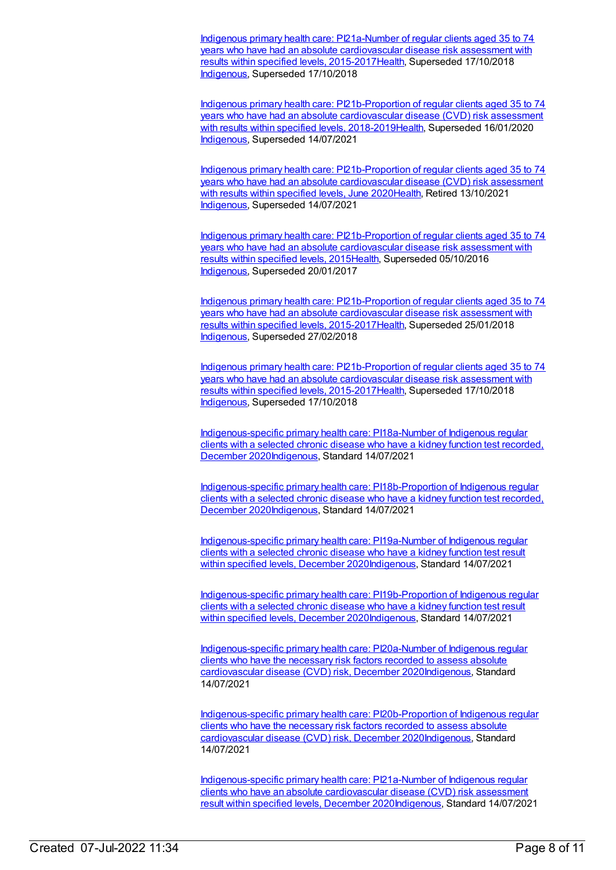Indigenous primary health care: PI21a-Number of regular clients aged 35 to 74 years who have had an absolute cardiovascular disease risk assessment with results within specified levels, [2015-2017Health,](https://meteor.aihw.gov.au/content/686374) Superseded 17/10/2018 [Indigenous](https://meteor.aihw.gov.au/RegistrationAuthority/6), Superseded 17/10/2018

Indigenous primary health care: [PI21b-Proportion](https://meteor.aihw.gov.au/content/688012) of regular clients aged 35 to 74 years who have had an absolute cardiovascular disease (CVD) risk assessment with results within specified levels, 2018-201[9Health](https://meteor.aihw.gov.au/RegistrationAuthority/12), Superseded 16/01/2020 [Indigenous](https://meteor.aihw.gov.au/RegistrationAuthority/6), Superseded 14/07/2021

Indigenous primary health care: [PI21b-Proportion](https://meteor.aihw.gov.au/content/717354) of regular clients aged 35 to 74 years who have had an absolute cardiovascular disease (CVD) risk assessment with results within specified levels, June 202[0Health](https://meteor.aihw.gov.au/RegistrationAuthority/12), Retired 13/10/2021 [Indigenous](https://meteor.aihw.gov.au/RegistrationAuthority/6), Superseded 14/07/2021

Indigenous primary health care: [PI21b-Proportion](https://meteor.aihw.gov.au/content/585230) of regular clients aged 35 to 74 years who have had an absolute cardiovascular disease risk assessment with results within specified levels, 2015[Health](https://meteor.aihw.gov.au/RegistrationAuthority/12), Superseded 05/10/2016 [Indigenous](https://meteor.aihw.gov.au/RegistrationAuthority/6), Superseded 20/01/2017

Indigenous primary health care: [PI21b-Proportion](https://meteor.aihw.gov.au/content/663980) of regular clients aged 35 to 74 years who have had an absolute cardiovascular disease risk assessment with results within specified levels, 2015-201[7Health](https://meteor.aihw.gov.au/RegistrationAuthority/12), Superseded 25/01/2018 [Indigenous](https://meteor.aihw.gov.au/RegistrationAuthority/6), Superseded 27/02/2018

Indigenous primary health care: [PI21b-Proportion](https://meteor.aihw.gov.au/content/686376) of regular clients aged 35 to 74 years who have had an absolute cardiovascular disease risk assessment with results within specified levels, 2015-201[7Health](https://meteor.aihw.gov.au/RegistrationAuthority/12), Superseded 17/10/2018 [Indigenous](https://meteor.aihw.gov.au/RegistrationAuthority/6), Superseded 17/10/2018

[Indigenous-specific](https://meteor.aihw.gov.au/content/739436) primary health care: PI18a-Number of Indigenous regular clients with a selected chronic disease who have a kidney function test recorded, December 202[0Indigenous,](https://meteor.aihw.gov.au/RegistrationAuthority/6) Standard 14/07/2021

[Indigenous-specific](https://meteor.aihw.gov.au/content/739438) primary health care: PI18b-Proportion of Indigenous regular clients with a selected chronic disease who have a kidney function test recorded, December 202[0Indigenous,](https://meteor.aihw.gov.au/RegistrationAuthority/6) Standard 14/07/2021

[Indigenous-specific](https://meteor.aihw.gov.au/content/739450) primary health care: PI19a-Number of Indigenous regular clients with a selected chronic disease who have a kidney function test result within specified levels, December 202[0Indigenous](https://meteor.aihw.gov.au/RegistrationAuthority/6), Standard 14/07/2021

[Indigenous-specific](https://meteor.aihw.gov.au/content/739454) primary health care: PI19b-Proportion of Indigenous regular clients with a selected chronic disease who have a kidney function test result within specified levels, December 202[0Indigenous](https://meteor.aihw.gov.au/RegistrationAuthority/6), Standard 14/07/2021

[Indigenous-specific](https://meteor.aihw.gov.au/content/739463) primary health care: PI20a-Number of Indigenous regular clients who have the necessary risk factors recorded to assess absolute cardiovascular disease (CVD) risk, December 202[0Indigenous](https://meteor.aihw.gov.au/RegistrationAuthority/6), Standard 14/07/2021

[Indigenous-specific](https://meteor.aihw.gov.au/content/739465) primary health care: PI20b-Proportion of Indigenous regular clients who have the necessary risk factors recorded to assess absolute cardiovascular disease (CVD) risk, December 202[0Indigenous](https://meteor.aihw.gov.au/RegistrationAuthority/6), Standard 14/07/2021

[Indigenous-specific](https://meteor.aihw.gov.au/content/739468) primary health care: PI21a-Number of Indigenous regular clients who have an absolute cardiovascular disease (CVD) risk assessment result within specified levels, December 2020[Indigenous](https://meteor.aihw.gov.au/RegistrationAuthority/6), Standard 14/07/2021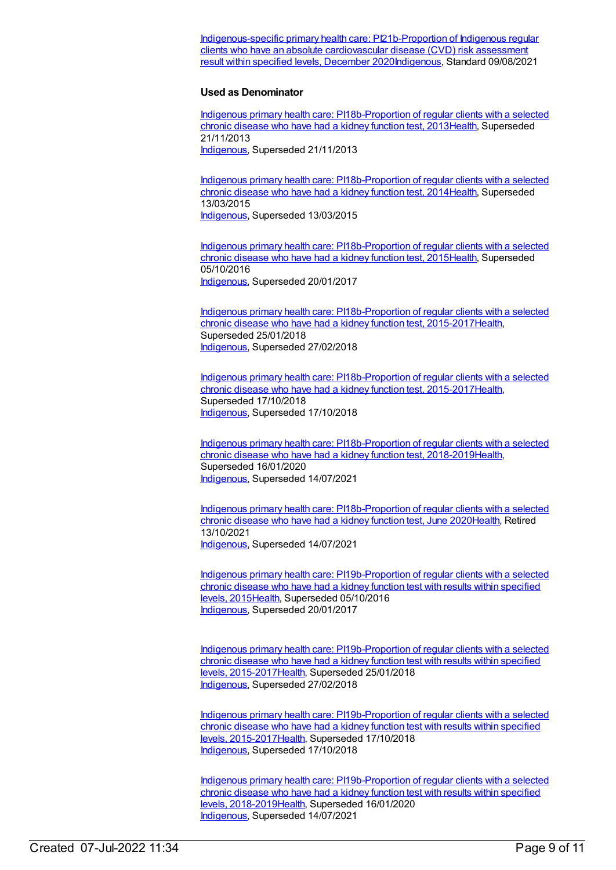[Indigenous-specific](https://meteor.aihw.gov.au/content/739470) primary health care: PI21b-Proportion of Indigenous regular clients who have an absolute cardiovascular disease (CVD) risk assessment result within specified levels, December 2020[Indigenous](https://meteor.aihw.gov.au/RegistrationAuthority/6), Standard 09/08/2021

#### **Used as Denominator**

Indigenous primary health care: [PI18b-Proportion](https://meteor.aihw.gov.au/content/438145) of regular clients with a selected chronic disease who have had a kidney function test, 201[3Health](https://meteor.aihw.gov.au/RegistrationAuthority/12), Superseded 21/11/2013 [Indigenous](https://meteor.aihw.gov.au/RegistrationAuthority/6), Superseded 21/11/2013

Indigenous primary health care: [PI18b-Proportion](https://meteor.aihw.gov.au/content/504788) of regular clients with a selected chronic disease who have had a kidney function test, 201[4Health](https://meteor.aihw.gov.au/RegistrationAuthority/12), Superseded 13/03/2015 [Indigenous](https://meteor.aihw.gov.au/RegistrationAuthority/6), Superseded 13/03/2015

Indigenous primary health care: [PI18b-Proportion](https://meteor.aihw.gov.au/content/589069) of regular clients with a selected chronic disease who have had a kidney function test, 201[5Health](https://meteor.aihw.gov.au/RegistrationAuthority/12), Superseded 05/10/2016 [Indigenous](https://meteor.aihw.gov.au/RegistrationAuthority/6), Superseded 20/01/2017

Indigenous primary health care: [PI18b-Proportion](https://meteor.aihw.gov.au/content/663969) of regular clients with a selected chronic disease who have had a kidney function test, 2015-201[7Health](https://meteor.aihw.gov.au/RegistrationAuthority/12), Superseded 25/01/2018 [Indigenous](https://meteor.aihw.gov.au/RegistrationAuthority/6), Superseded 27/02/2018

Indigenous primary health care: [PI18b-Proportion](https://meteor.aihw.gov.au/content/686364) of regular clients with a selected chronic disease who have had a kidney function test, 2015-201[7Health](https://meteor.aihw.gov.au/RegistrationAuthority/12), Superseded 17/10/2018 [Indigenous](https://meteor.aihw.gov.au/RegistrationAuthority/6), Superseded 17/10/2018

Indigenous primary health care: [PI18b-Proportion](https://meteor.aihw.gov.au/content/687998) of regular clients with a selected chronic disease who have had a kidney function test, 2018-201[9Health](https://meteor.aihw.gov.au/RegistrationAuthority/12), Superseded 16/01/2020 [Indigenous](https://meteor.aihw.gov.au/RegistrationAuthority/6), Superseded 14/07/2021

Indigenous primary health care: [PI18b-Proportion](https://meteor.aihw.gov.au/content/717340) of regular clients with a selected chronic disease who have had a kidney function test, June 2020[Health](https://meteor.aihw.gov.au/RegistrationAuthority/12), Retired 13/10/2021 [Indigenous](https://meteor.aihw.gov.au/RegistrationAuthority/6), Superseded 14/07/2021

Indigenous primary health care: [PI19b-Proportion](https://meteor.aihw.gov.au/content/594108) of regular clients with a selected chronic disease who have had a kidney function test with results within specified levels, 2015[Health](https://meteor.aihw.gov.au/RegistrationAuthority/12), Superseded 05/10/2016 [Indigenous](https://meteor.aihw.gov.au/RegistrationAuthority/6), Superseded 20/01/2017

Indigenous primary health care: [PI19b-Proportion](https://meteor.aihw.gov.au/content/663976) of regular clients with a selected chronic disease who have had a kidney function test with results within specified levels, 2015-201[7Health,](https://meteor.aihw.gov.au/RegistrationAuthority/12) Superseded 25/01/2018 [Indigenous](https://meteor.aihw.gov.au/RegistrationAuthority/6), Superseded 27/02/2018

Indigenous primary health care: [PI19b-Proportion](https://meteor.aihw.gov.au/content/686368) of regular clients with a selected chronic disease who have had a kidney function test with results within specified levels, 2015-201[7Health,](https://meteor.aihw.gov.au/RegistrationAuthority/12) Superseded 17/10/2018 [Indigenous](https://meteor.aihw.gov.au/RegistrationAuthority/6), Superseded 17/10/2018

Indigenous primary health care: [PI19b-Proportion](https://meteor.aihw.gov.au/content/688002) of regular clients with a selected chronic disease who have had a kidney function test with results within specified levels, 2018-201[9Health,](https://meteor.aihw.gov.au/RegistrationAuthority/12) Superseded 16/01/2020 [Indigenous](https://meteor.aihw.gov.au/RegistrationAuthority/6), Superseded 14/07/2021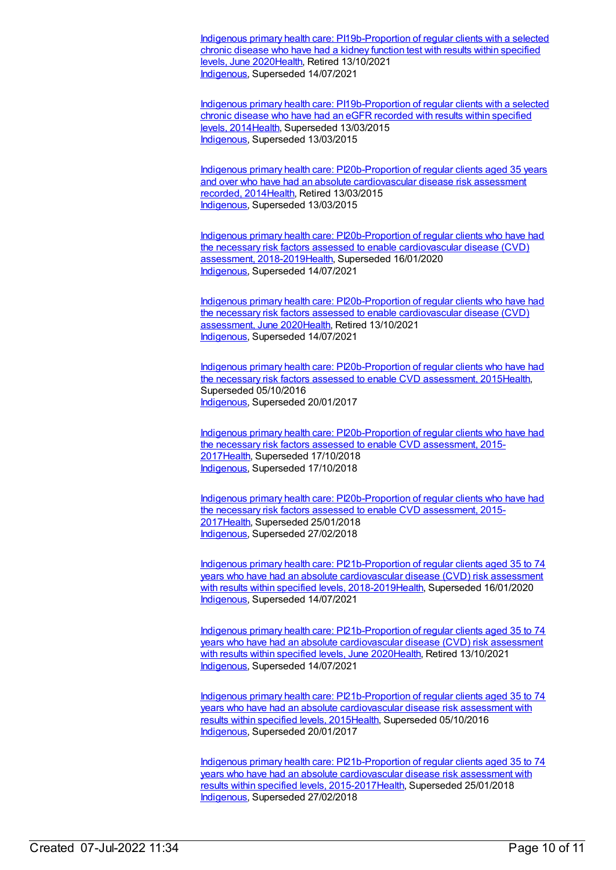Indigenous primary health care: [PI19b-Proportion](https://meteor.aihw.gov.au/content/717344) of regular clients with a selected chronic disease who have had a kidney function test with results within specified levels, June 202[0Health](https://meteor.aihw.gov.au/RegistrationAuthority/12), Retired 13/10/2021 [Indigenous](https://meteor.aihw.gov.au/RegistrationAuthority/6), Superseded 14/07/2021

Indigenous primary health care: [PI19b-Proportion](https://meteor.aihw.gov.au/content/481525) of regular clients with a selected chronic disease who have had an eGFR recorded with results within specified levels, 2014[Health](https://meteor.aihw.gov.au/RegistrationAuthority/12), Superseded 13/03/2015 [Indigenous](https://meteor.aihw.gov.au/RegistrationAuthority/6), Superseded 13/03/2015

Indigenous primary health care: [PI20b-Proportion](https://meteor.aihw.gov.au/content/481576) of regular clients aged 35 years and over who have had an absolute cardiovascular disease risk assessment recorded, 201[4Health](https://meteor.aihw.gov.au/RegistrationAuthority/12), Retired 13/03/2015 [Indigenous](https://meteor.aihw.gov.au/RegistrationAuthority/6), Superseded 13/03/2015

Indigenous primary health care: [PI20b-Proportion](https://meteor.aihw.gov.au/content/688007) of regular clients who have had the necessary risk factors assessed to enable cardiovascular disease (CVD) assessment, 2018-2019[Health,](https://meteor.aihw.gov.au/RegistrationAuthority/12) Superseded 16/01/2020 [Indigenous](https://meteor.aihw.gov.au/RegistrationAuthority/6), Superseded 14/07/2021

Indigenous primary health care: [PI20b-Proportion](https://meteor.aihw.gov.au/content/717350) of regular clients who have had the necessary risk factors assessed to enable cardiovascular disease (CVD) assessment, June 202[0Health](https://meteor.aihw.gov.au/RegistrationAuthority/12), Retired 13/10/2021 [Indigenous](https://meteor.aihw.gov.au/RegistrationAuthority/6), Superseded 14/07/2021

Indigenous primary health care: [PI20b-Proportion](https://meteor.aihw.gov.au/content/588801) of regular clients who have had the necessary risk factors assessed to enable CVD assessment, 201[5Health](https://meteor.aihw.gov.au/RegistrationAuthority/12), Superseded 05/10/2016 [Indigenous](https://meteor.aihw.gov.au/RegistrationAuthority/6), Superseded 20/01/2017

Indigenous primary health care: [PI20b-Proportion](https://meteor.aihw.gov.au/content/686372) of regular clients who have had the necessary risk factors assessed to enable CVD assessment, 2015- 201[7Health](https://meteor.aihw.gov.au/RegistrationAuthority/12), Superseded 17/10/2018 [Indigenous](https://meteor.aihw.gov.au/RegistrationAuthority/6), Superseded 17/10/2018

Indigenous primary health care: [PI20b-Proportion](https://meteor.aihw.gov.au/content/663884) of regular clients who have had the necessary risk factors assessed to enable CVD assessment, 2015- 201[7Health](https://meteor.aihw.gov.au/RegistrationAuthority/12), Superseded 25/01/2018 [Indigenous](https://meteor.aihw.gov.au/RegistrationAuthority/6), Superseded 27/02/2018

Indigenous primary health care: [PI21b-Proportion](https://meteor.aihw.gov.au/content/688012) of regular clients aged 35 to 74 years who have had an absolute cardiovascular disease (CVD) risk assessment with results within specified levels, 2018-201[9Health](https://meteor.aihw.gov.au/RegistrationAuthority/12), Superseded 16/01/2020 [Indigenous](https://meteor.aihw.gov.au/RegistrationAuthority/6), Superseded 14/07/2021

Indigenous primary health care: [PI21b-Proportion](https://meteor.aihw.gov.au/content/717354) of regular clients aged 35 to 74 years who have had an absolute cardiovascular disease (CVD) risk assessment with results within specified levels, June 202[0Health](https://meteor.aihw.gov.au/RegistrationAuthority/12), Retired 13/10/2021 [Indigenous](https://meteor.aihw.gov.au/RegistrationAuthority/6), Superseded 14/07/2021

Indigenous primary health care: [PI21b-Proportion](https://meteor.aihw.gov.au/content/585230) of regular clients aged 35 to 74 years who have had an absolute cardiovascular disease risk assessment with results within specified levels, 2015[Health](https://meteor.aihw.gov.au/RegistrationAuthority/12), Superseded 05/10/2016 [Indigenous](https://meteor.aihw.gov.au/RegistrationAuthority/6), Superseded 20/01/2017

Indigenous primary health care: [PI21b-Proportion](https://meteor.aihw.gov.au/content/663980) of regular clients aged 35 to 74 years who have had an absolute cardiovascular disease risk assessment with results within specified levels, 2015-201[7Health](https://meteor.aihw.gov.au/RegistrationAuthority/12), Superseded 25/01/2018 [Indigenous](https://meteor.aihw.gov.au/RegistrationAuthority/6), Superseded 27/02/2018